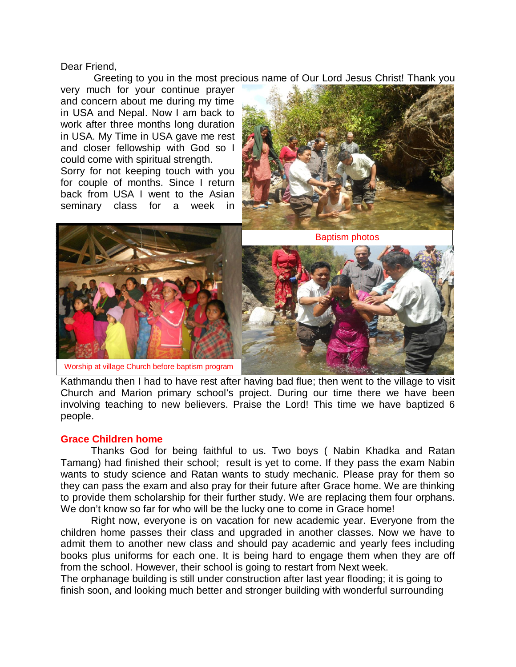Dear Friend,

Greeting to you in the most precious name of Our Lord Jesus Christ! Thank you

very much for your continue prayer and concern about me during my time in USA and Nepal. Now I am back to work after three months long duration in USA. My Time in USA gave me rest and closer fellowship with God so I could come with spiritual strength.

Sorry for not keeping touch with you for couple of months. Since I return back from USA I went to the Asian seminary class for a week in



Worship at village Church before baptism program Baptism photos

Kathmandu then I had to have rest after having bad flue; then went to the village to visit Church and Marion primary school's project. During our time there we have been involving teaching to new believers. Praise the Lord! This time we have baptized 6 people.

## **Grace Children home**

Thanks God for being faithful to us. Two boys ( Nabin Khadka and Ratan Tamang) had finished their school; result is yet to come. If they pass the exam Nabin wants to study science and Ratan wants to study mechanic. Please pray for them so they can pass the exam and also pray for their future after Grace home. We are thinking to provide them scholarship for their further study. We are replacing them four orphans. We don't know so far for who will be the lucky one to come in Grace home!

Right now, everyone is on vacation for new academic year. Everyone from the children home passes their class and upgraded in another classes. Now we have to admit them to another new class and should pay academic and yearly fees including books plus uniforms for each one. It is being hard to engage them when they are off from the school. However, their school is going to restart from Next week.

The orphanage building is still under construction after last year flooding; it is going to finish soon, and looking much better and stronger building with wonderful surrounding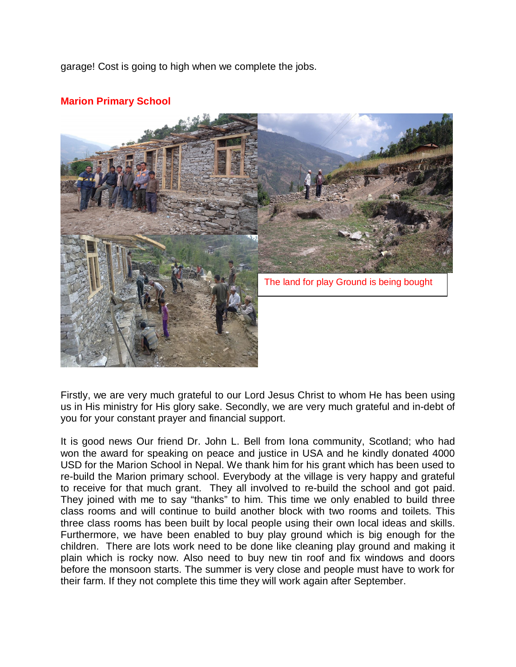garage! Cost is going to high when we complete the jobs.



## **Marion Primary School**

Firstly, we are very much grateful to our Lord Jesus Christ to whom He has been using us in His ministry for His glory sake. Secondly, we are very much grateful and in-debt of you for your constant prayer and financial support.

It is good news Our friend Dr. John L. Bell from Iona community, Scotland; who had won the award for speaking on peace and justice in USA and he kindly donated 4000 USD for the Marion School in Nepal. We thank him for his grant which has been used to re-build the Marion primary school. Everybody at the village is very happy and grateful to receive for that much grant. They all involved to re-build the school and got paid. They joined with me to say "thanks" to him. This time we only enabled to build three class rooms and will continue to build another block with two rooms and toilets. This three class rooms has been built by local people using their own local ideas and skills. Furthermore, we have been enabled to buy play ground which is big enough for the children. There are lots work need to be done like cleaning play ground and making it plain which is rocky now. Also need to buy new tin roof and fix windows and doors before the monsoon starts. The summer is very close and people must have to work for their farm. If they not complete this time they will work again after September.